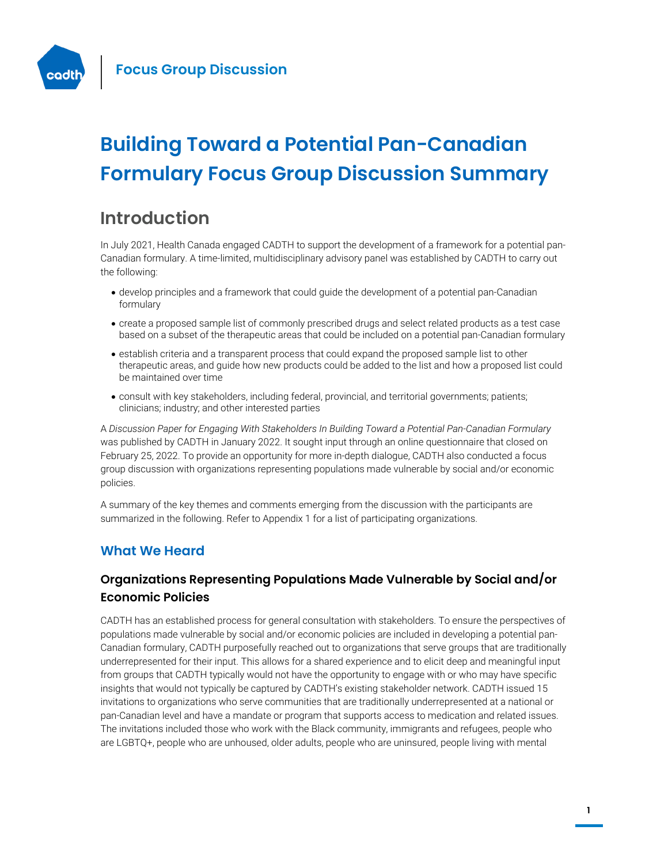

# **Building Toward a Potential Pan-Canadian Formulary Focus Group Discussion Summary**

# **Introduction**

In July 2021, Health Canada engaged CADTH to support the development of a framework for a potential pan-Canadian formulary. A time-limited, multidisciplinary advisory panel was established by CADTH to carry out the following:

- develop principles and a framework that could guide the development of a potential pan-Canadian formulary
- create a proposed sample list of commonly prescribed drugs and select related products as a test case based on a subset of the therapeutic areas that could be included on a potential pan-Canadian formulary
- establish criteria and a transparent process that could expand the proposed sample list to other therapeutic areas, and guide how new products could be added to the list and how a proposed list could be maintained over time
- consult with key stakeholders, including federal, provincial, and territorial governments; patients; clinicians; industry; and other interested parties

A *Discussion Paper for Engaging With Stakeholders In Building Toward a Potential Pan-Canadian Formulary* was published by CADTH in January 2022. It sought input through an online questionnaire that closed on February 25, 2022. To provide an opportunity for more in-depth dialogue, CADTH also conducted a focus group discussion with organizations representing populations made vulnerable by social and/or economic policies.

A summary of the key themes and comments emerging from the discussion with the participants are summarized in the following. Refer to Appendix 1 for a list of participating organizations.

### **What We Heard**

### **Organizations Representing Populations Made Vulnerable by Social and/or Economic Policies**

CADTH has an established process for general consultation with stakeholders. To ensure the perspectives of populations made vulnerable by social and/or economic policies are included in developing a potential pan-Canadian formulary, CADTH purposefully reached out to organizations that serve groups that are traditionally underrepresented for their input. This allows for a shared experience and to elicit deep and meaningful input from groups that CADTH typically would not have the opportunity to engage with or who may have specific insights that would not typically be captured by CADTH's existing stakeholder network. CADTH issued 15 invitations to organizations who serve communities that are traditionally underrepresented at a national or pan-Canadian level and have a mandate or program that supports access to medication and related issues. The invitations included those who work with the Black community, immigrants and refugees, people who are LGBTQ+, people who are unhoused, older adults, people who are uninsured, people living with mental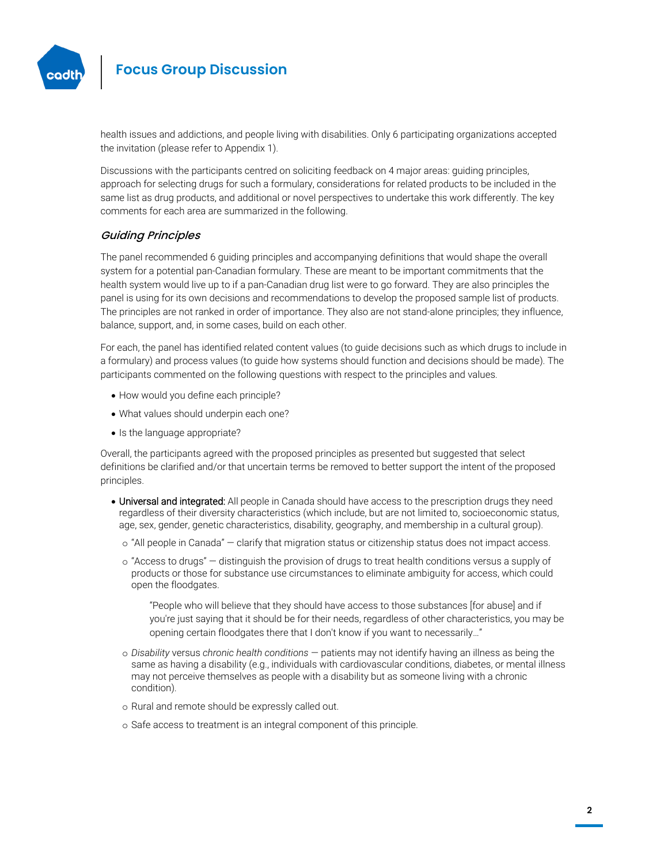

health issues and addictions, and people living with disabilities. Only 6 participating organizations accepted the invitation (please refer to Appendix 1).

Discussions with the participants centred on soliciting feedback on 4 major areas: guiding principles, approach for selecting drugs for such a formulary, considerations for related products to be included in the same list as drug products, and additional or novel perspectives to undertake this work differently. The key comments for each area are summarized in the following.

### Guiding Principles

The panel recommended 6 guiding principles and accompanying definitions that would shape the overall system for a potential pan-Canadian formulary. These are meant to be important commitments that the health system would live up to if a pan-Canadian drug list were to go forward. They are also principles the panel is using for its own decisions and recommendations to develop the proposed sample list of products. The principles are not ranked in order of importance. They also are not stand-alone principles; they influence, balance, support, and, in some cases, build on each other.

For each, the panel has identified related content values (to guide decisions such as which drugs to include in a formulary) and process values (to guide how systems should function and decisions should be made). The participants commented on the following questions with respect to the principles and values.

- How would you define each principle?
- What values should underpin each one?
- Is the language appropriate?

Overall, the participants agreed with the proposed principles as presented but suggested that select definitions be clarified and/or that uncertain terms be removed to better support the intent of the proposed principles.

- Universal and integrated: All people in Canada should have access to the prescription drugs they need regardless of their diversity characteristics (which include, but are not limited to, socioeconomic status, age, sex, gender, genetic characteristics, disability, geography, and membership in a cultural group).
	- o "All people in Canada" clarify that migration status or citizenship status does not impact access.
	- o "Access to drugs" distinguish the provision of drugs to treat health conditions versus a supply of products or those for substance use circumstances to eliminate ambiguity for access, which could open the floodgates.

"People who will believe that they should have access to those substances [for abuse] and if you're just saying that it should be for their needs, regardless of other characteristics, you may be opening certain floodgates there that I don't know if you want to necessarily…"

- o *Disability* versus *chronic health conditions* patients may not identify having an illness as being the same as having a disability (e.g., individuals with cardiovascular conditions, diabetes, or mental illness may not perceive themselves as people with a disability but as someone living with a chronic condition).
- o Rural and remote should be expressly called out.
- o Safe access to treatment is an integral component of this principle.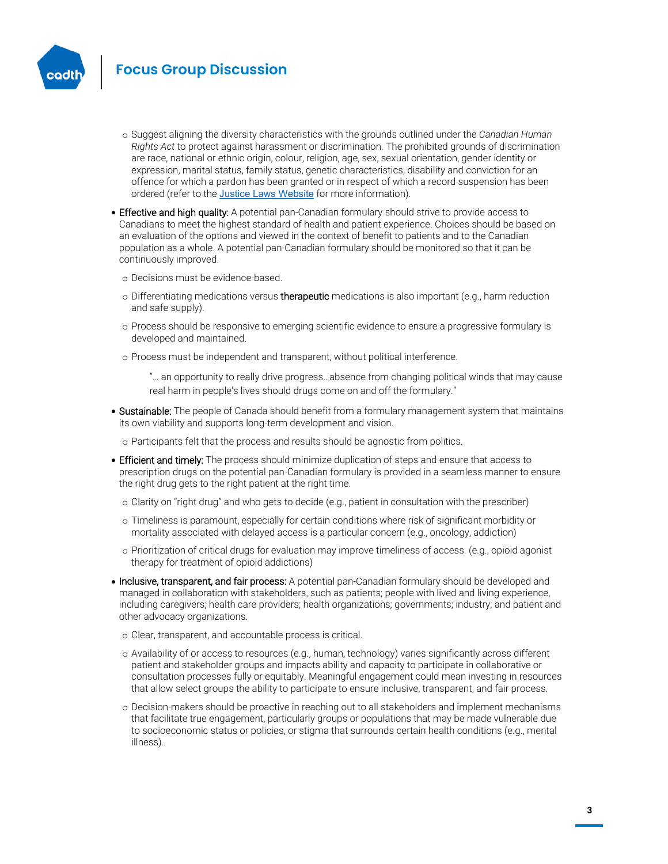

- o Suggest aligning the diversity characteristics with the grounds outlined under the *Canadian Human Rights Act* to protect against harassment or discrimination. The prohibited grounds of discrimination are race, national or ethnic origin, colour, religion, age, sex, sexual orientation, gender identity or expression, marital status, family status, genetic characteristics, disability and conviction for an offence for which a pardon has been granted or in respect of which a record suspension has been ordered (refer to the [Justice Laws Website](https://laws-lois.justice.gc.ca/eng/acts/h-6/) for more information).
- Effective and high quality: A potential pan-Canadian formulary should strive to provide access to Canadians to meet the highest standard of health and patient experience. Choices should be based on an evaluation of the options and viewed in the context of benefit to patients and to the Canadian population as a whole. A potential pan-Canadian formulary should be monitored so that it can be continuously improved.
	- o Decisions must be evidence-based.
	- $\circ$  Differentiating medications versus therapeutic medications is also important (e.g., harm reduction and safe supply).
	- o Process should be responsive to emerging scientific evidence to ensure a progressive formulary is developed and maintained.
	- o Process must be independent and transparent, without political interference.
		- "… an opportunity to really drive progress…absence from changing political winds that may cause real harm in people's lives should drugs come on and off the formulary."
- Sustainable: The people of Canada should benefit from a formulary management system that maintains its own viability and supports long-term development and vision.
	- o Participants felt that the process and results should be agnostic from politics.
- **Efficient and timely:** The process should minimize duplication of steps and ensure that access to prescription drugs on the potential pan-Canadian formulary is provided in a seamless manner to ensure the right drug gets to the right patient at the right time.
	- o Clarity on "right drug" and who gets to decide (e.g., patient in consultation with the prescriber)
	- o Timeliness is paramount, especially for certain conditions where risk of significant morbidity or mortality associated with delayed access is a particular concern (e.g., oncology, addiction)
	- o Prioritization of critical drugs for evaluation may improve timeliness of access. (e.g., opioid agonist therapy for treatment of opioid addictions)
- Inclusive, transparent, and fair process: A potential pan-Canadian formulary should be developed and managed in collaboration with stakeholders, such as patients; people with lived and living experience, including caregivers; health care providers; health organizations; governments; industry; and patient and other advocacy organizations.
	- o Clear, transparent, and accountable process is critical.
	- o Availability of or access to resources (e.g., human, technology) varies significantly across different patient and stakeholder groups and impacts ability and capacity to participate in collaborative or consultation processes fully or equitably. Meaningful engagement could mean investing in resources that allow select groups the ability to participate to ensure inclusive, transparent, and fair process.
	- o Decision-makers should be proactive in reaching out to all stakeholders and implement mechanisms that facilitate true engagement, particularly groups or populations that may be made vulnerable due to socioeconomic status or policies, or stigma that surrounds certain health conditions (e.g., mental illness).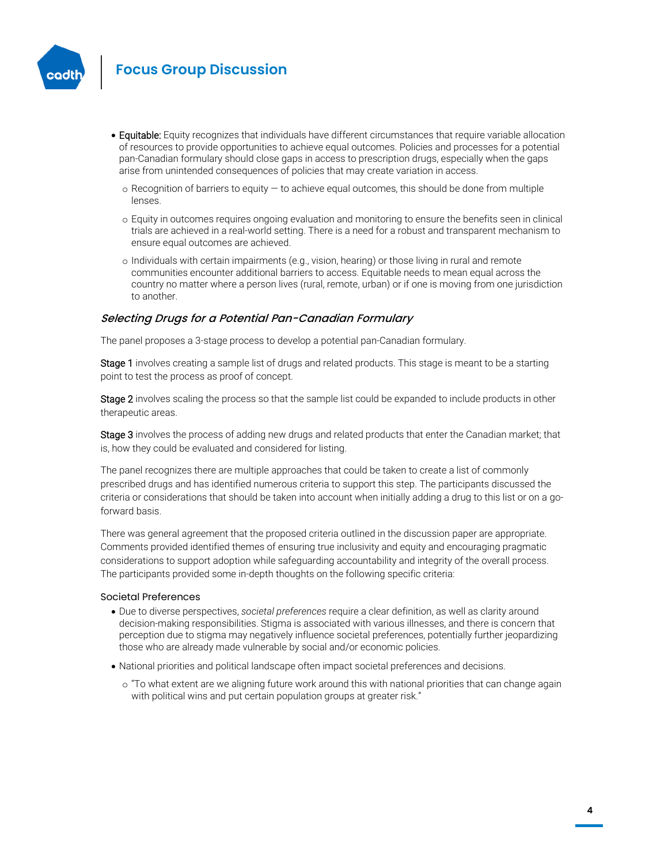

- **Equitable:** Equity recognizes that individuals have different circumstances that require variable allocation of resources to provide opportunities to achieve equal outcomes. Policies and processes for a potential pan-Canadian formulary should close gaps in access to prescription drugs, especially when the gaps arise from unintended consequences of policies that may create variation in access.
	- $\circ$  Recognition of barriers to equity  $-$  to achieve equal outcomes, this should be done from multiple lenses.
	- o Equity in outcomes requires ongoing evaluation and monitoring to ensure the benefits seen in clinical trials are achieved in a real-world setting. There is a need for a robust and transparent mechanism to ensure equal outcomes are achieved.
	- o Individuals with certain impairments (e.g., vision, hearing) or those living in rural and remote communities encounter additional barriers to access. Equitable needs to mean equal across the country no matter where a person lives (rural, remote, urban) or if one is moving from one jurisdiction to another.

#### Selecting Drugs for a Potential Pan-Canadian Formulary

The panel proposes a 3-stage process to develop a potential pan-Canadian formulary.

Stage 1 involves creating a sample list of drugs and related products. This stage is meant to be a starting point to test the process as proof of concept.

Stage 2 involves scaling the process so that the sample list could be expanded to include products in other therapeutic areas.

Stage 3 involves the process of adding new drugs and related products that enter the Canadian market; that is, how they could be evaluated and considered for listing.

The panel recognizes there are multiple approaches that could be taken to create a list of commonly prescribed drugs and has identified numerous criteria to support this step. The participants discussed the criteria or considerations that should be taken into account when initially adding a drug to this list or on a goforward basis.

There was general agreement that the proposed criteria outlined in the discussion paper are appropriate. Comments provided identified themes of ensuring true inclusivity and equity and encouraging pragmatic considerations to support adoption while safeguarding accountability and integrity of the overall process. The participants provided some in-depth thoughts on the following specific criteria:

#### Societal Preferences

- Due to diverse perspectives, *societal preferences* require a clear definition, as well as clarity around decision-making responsibilities. Stigma is associated with various illnesses, and there is concern that perception due to stigma may negatively influence societal preferences, potentially further jeopardizing those who are already made vulnerable by social and/or economic policies.
- National priorities and political landscape often impact societal preferences and decisions.
	- o "To what extent are we aligning future work around this with national priorities that can change again with political wins and put certain population groups at greater risk."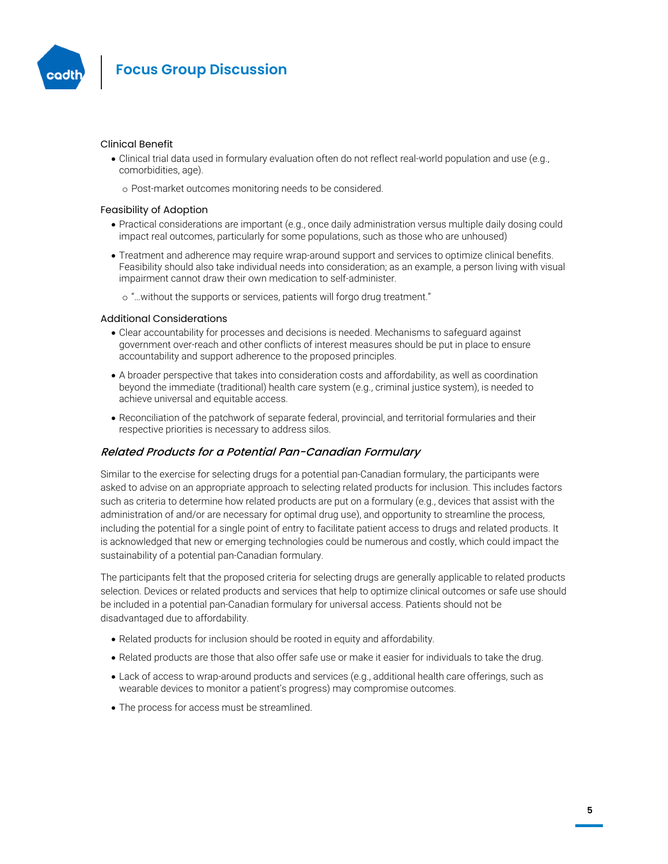

#### Clinical Benefit

- Clinical trial data used in formulary evaluation often do not reflect real-world population and use (e.g., comorbidities, age).
	- o Post-market outcomes monitoring needs to be considered.

#### Feasibility of Adoption

- Practical considerations are important (e.g., once daily administration versus multiple daily dosing could impact real outcomes, particularly for some populations, such as those who are unhoused)
- Treatment and adherence may require wrap-around support and services to optimize clinical benefits. Feasibility should also take individual needs into consideration; as an example, a person living with visual impairment cannot draw their own medication to self-administer.
	- o "…without the supports or services, patients will forgo drug treatment."

#### Additional Considerations

- Clear accountability for processes and decisions is needed. Mechanisms to safeguard against government over-reach and other conflicts of interest measures should be put in place to ensure accountability and support adherence to the proposed principles.
- A broader perspective that takes into consideration costs and affordability, as well as coordination beyond the immediate (traditional) health care system (e.g., criminal justice system), is needed to achieve universal and equitable access.
- Reconciliation of the patchwork of separate federal, provincial, and territorial formularies and their respective priorities is necessary to address silos.

#### Related Products for a Potential Pan-Canadian Formulary

Similar to the exercise for selecting drugs for a potential pan-Canadian formulary, the participants were asked to advise on an appropriate approach to selecting related products for inclusion. This includes factors such as criteria to determine how related products are put on a formulary (e.g., devices that assist with the administration of and/or are necessary for optimal drug use), and opportunity to streamline the process, including the potential for a single point of entry to facilitate patient access to drugs and related products. It is acknowledged that new or emerging technologies could be numerous and costly, which could impact the sustainability of a potential pan-Canadian formulary.

The participants felt that the proposed criteria for selecting drugs are generally applicable to related products selection. Devices or related products and services that help to optimize clinical outcomes or safe use should be included in a potential pan-Canadian formulary for universal access. Patients should not be disadvantaged due to affordability.

- Related products for inclusion should be rooted in equity and affordability.
- Related products are those that also offer safe use or make it easier for individuals to take the drug.
- Lack of access to wrap-around products and services (e.g., additional health care offerings, such as wearable devices to monitor a patient's progress) may compromise outcomes.
- The process for access must be streamlined.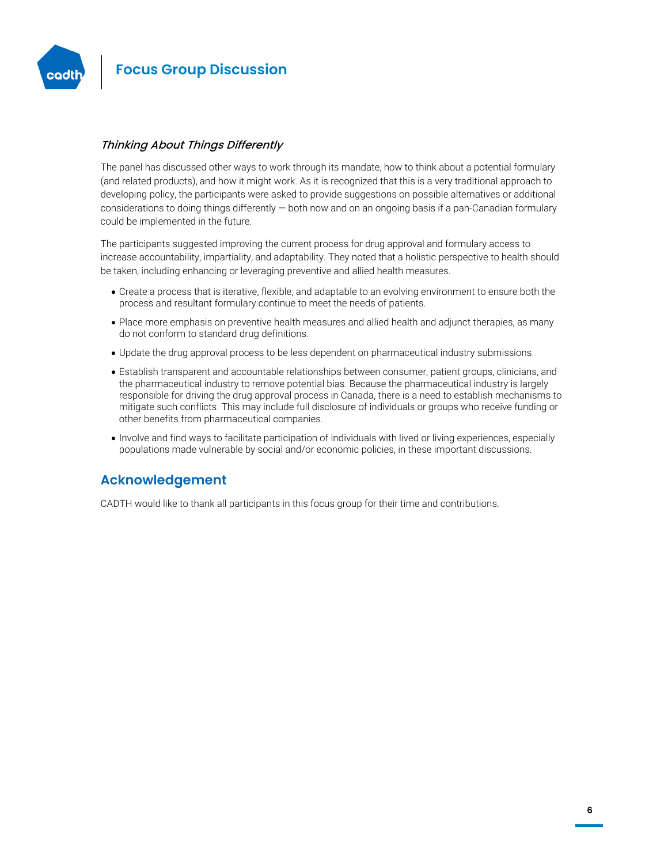

### Thinking About Things Differently

The panel has discussed other ways to work through its mandate, how to think about a potential formulary (and related products), and how it might work. As it is recognized that this is a very traditional approach to developing policy, the participants were asked to provide suggestions on possible alternatives or additional considerations to doing things differently  $-$  both now and on an ongoing basis if a pan-Canadian formulary could be implemented in the future.

The participants suggested improving the current process for drug approval and formulary access to increase accountability, impartiality, and adaptability. They noted that a holistic perspective to health should be taken, including enhancing or leveraging preventive and allied health measures.

- Create a process that is iterative, flexible, and adaptable to an evolving environment to ensure both the process and resultant formulary continue to meet the needs of patients.
- Place more emphasis on preventive health measures and allied health and adjunct therapies, as many do not conform to standard drug definitions.
- Update the drug approval process to be less dependent on pharmaceutical industry submissions.
- Establish transparent and accountable relationships between consumer, patient groups, clinicians, and the pharmaceutical industry to remove potential bias. Because the pharmaceutical industry is largely responsible for driving the drug approval process in Canada, there is a need to establish mechanisms to mitigate such conflicts. This may include full disclosure of individuals or groups who receive funding or other benefits from pharmaceutical companies.
- Involve and find ways to facilitate participation of individuals with lived or living experiences, especially populations made vulnerable by social and/or economic policies, in these important discussions.

### **Acknowledgement**

CADTH would like to thank all participants in this focus group for their time and contributions.